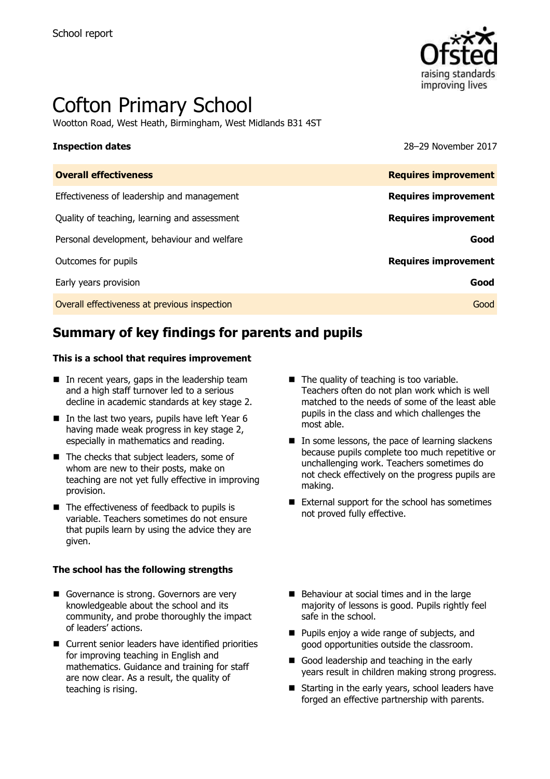

# Cofton Primary School

Wootton Road, West Heath, Birmingham, West Midlands B31 4ST

**Inspection dates** 28–29 November 2017

| <b>Overall effectiveness</b>                 | <b>Requires improvement</b> |
|----------------------------------------------|-----------------------------|
| Effectiveness of leadership and management   | <b>Requires improvement</b> |
| Quality of teaching, learning and assessment | <b>Requires improvement</b> |
| Personal development, behaviour and welfare  | Good                        |
| Outcomes for pupils                          | <b>Requires improvement</b> |
| Early years provision                        | Good                        |
| Overall effectiveness at previous inspection | Good                        |

# **Summary of key findings for parents and pupils**

### **This is a school that requires improvement**

- $\blacksquare$  In recent years, gaps in the leadership team and a high staff turnover led to a serious decline in academic standards at key stage 2.
- $\blacksquare$  In the last two years, pupils have left Year 6 having made weak progress in key stage 2, especially in mathematics and reading.
- The checks that subject leaders, some of whom are new to their posts, make on teaching are not yet fully effective in improving provision.
- $\blacksquare$  The effectiveness of feedback to pupils is variable. Teachers sometimes do not ensure that pupils learn by using the advice they are given.

### **The school has the following strengths**

- Governance is strong. Governors are very knowledgeable about the school and its community, and probe thoroughly the impact of leaders' actions.
- Current senior leaders have identified priorities for improving teaching in English and mathematics. Guidance and training for staff are now clear. As a result, the quality of teaching is rising.
- The quality of teaching is too variable. Teachers often do not plan work which is well matched to the needs of some of the least able pupils in the class and which challenges the most able.
- $\blacksquare$  In some lessons, the pace of learning slackens because pupils complete too much repetitive or unchallenging work. Teachers sometimes do not check effectively on the progress pupils are making.
- External support for the school has sometimes not proved fully effective.
- Behaviour at social times and in the large majority of lessons is good. Pupils rightly feel safe in the school.
- **Pupils enjoy a wide range of subjects, and** good opportunities outside the classroom.
- Good leadership and teaching in the early years result in children making strong progress.
- Starting in the early years, school leaders have forged an effective partnership with parents.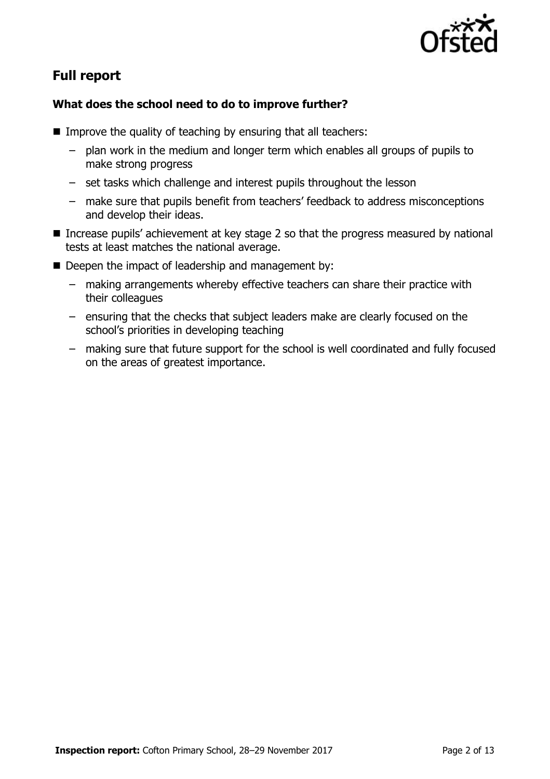

# **Full report**

### **What does the school need to do to improve further?**

- Improve the quality of teaching by ensuring that all teachers:
	- plan work in the medium and longer term which enables all groups of pupils to make strong progress
	- set tasks which challenge and interest pupils throughout the lesson
	- make sure that pupils benefit from teachers' feedback to address misconceptions and develop their ideas.
- Increase pupils' achievement at key stage 2 so that the progress measured by national tests at least matches the national average.
- Deepen the impact of leadership and management by:
	- making arrangements whereby effective teachers can share their practice with their colleagues
	- ensuring that the checks that subject leaders make are clearly focused on the school's priorities in developing teaching
	- making sure that future support for the school is well coordinated and fully focused on the areas of greatest importance.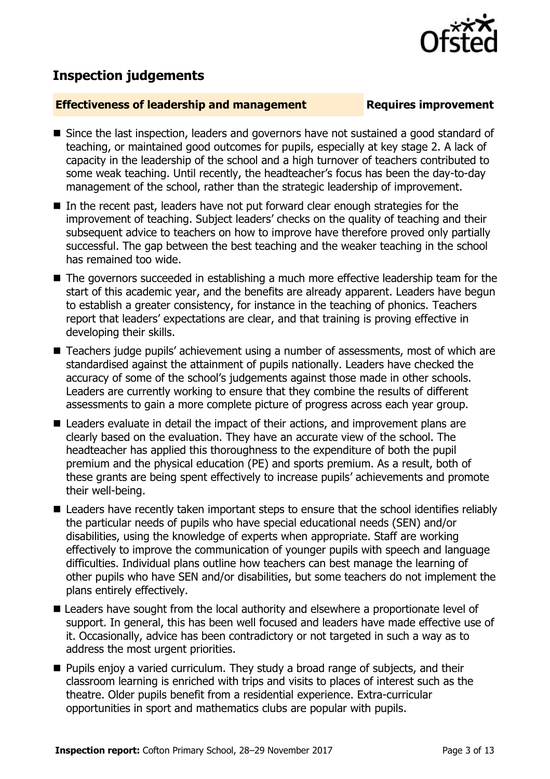## **Inspection judgements**

### **Effectiveness of leadership and management Requires improvement**

- Since the last inspection, leaders and governors have not sustained a good standard of teaching, or maintained good outcomes for pupils, especially at key stage 2. A lack of capacity in the leadership of the school and a high turnover of teachers contributed to some weak teaching. Until recently, the headteacher's focus has been the day-to-day management of the school, rather than the strategic leadership of improvement.
- $\blacksquare$  In the recent past, leaders have not put forward clear enough strategies for the improvement of teaching. Subject leaders' checks on the quality of teaching and their subsequent advice to teachers on how to improve have therefore proved only partially successful. The gap between the best teaching and the weaker teaching in the school has remained too wide.
- The governors succeeded in establishing a much more effective leadership team for the start of this academic year, and the benefits are already apparent. Leaders have begun to establish a greater consistency, for instance in the teaching of phonics. Teachers report that leaders' expectations are clear, and that training is proving effective in developing their skills.
- Teachers judge pupils' achievement using a number of assessments, most of which are standardised against the attainment of pupils nationally. Leaders have checked the accuracy of some of the school's judgements against those made in other schools. Leaders are currently working to ensure that they combine the results of different assessments to gain a more complete picture of progress across each year group.
- Leaders evaluate in detail the impact of their actions, and improvement plans are clearly based on the evaluation. They have an accurate view of the school. The headteacher has applied this thoroughness to the expenditure of both the pupil premium and the physical education (PE) and sports premium. As a result, both of these grants are being spent effectively to increase pupils' achievements and promote their well-being.
- Leaders have recently taken important steps to ensure that the school identifies reliably the particular needs of pupils who have special educational needs (SEN) and/or disabilities, using the knowledge of experts when appropriate. Staff are working effectively to improve the communication of younger pupils with speech and language difficulties. Individual plans outline how teachers can best manage the learning of other pupils who have SEN and/or disabilities, but some teachers do not implement the plans entirely effectively.
- Leaders have sought from the local authority and elsewhere a proportionate level of support. In general, this has been well focused and leaders have made effective use of it. Occasionally, advice has been contradictory or not targeted in such a way as to address the most urgent priorities.
- **Pupils enjoy a varied curriculum. They study a broad range of subjects, and their** classroom learning is enriched with trips and visits to places of interest such as the theatre. Older pupils benefit from a residential experience. Extra-curricular opportunities in sport and mathematics clubs are popular with pupils.

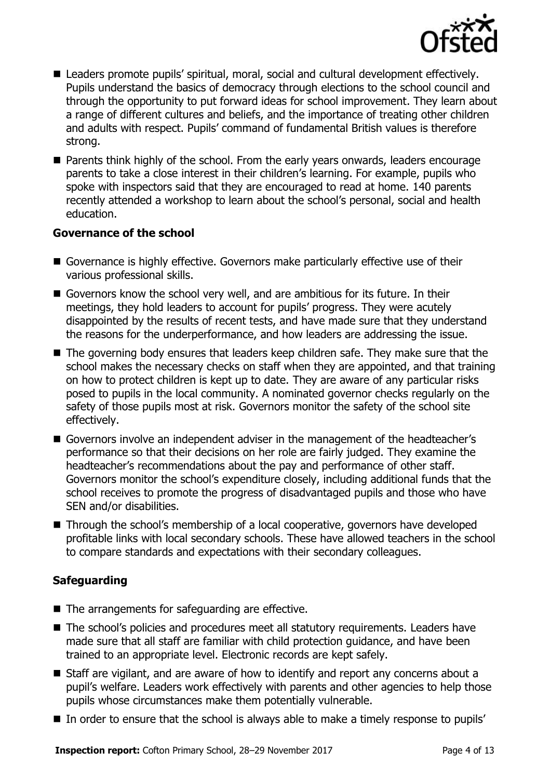

- Leaders promote pupils' spiritual, moral, social and cultural development effectively. Pupils understand the basics of democracy through elections to the school council and through the opportunity to put forward ideas for school improvement. They learn about a range of different cultures and beliefs, and the importance of treating other children and adults with respect. Pupils' command of fundamental British values is therefore strong.
- **Parents think highly of the school. From the early years onwards, leaders encourage** parents to take a close interest in their children's learning. For example, pupils who spoke with inspectors said that they are encouraged to read at home. 140 parents recently attended a workshop to learn about the school's personal, social and health education.

### **Governance of the school**

- Governance is highly effective. Governors make particularly effective use of their various professional skills.
- Governors know the school very well, and are ambitious for its future. In their meetings, they hold leaders to account for pupils' progress. They were acutely disappointed by the results of recent tests, and have made sure that they understand the reasons for the underperformance, and how leaders are addressing the issue.
- The governing body ensures that leaders keep children safe. They make sure that the school makes the necessary checks on staff when they are appointed, and that training on how to protect children is kept up to date. They are aware of any particular risks posed to pupils in the local community. A nominated governor checks regularly on the safety of those pupils most at risk. Governors monitor the safety of the school site effectively.
- Governors involve an independent adviser in the management of the headteacher's performance so that their decisions on her role are fairly judged. They examine the headteacher's recommendations about the pay and performance of other staff. Governors monitor the school's expenditure closely, including additional funds that the school receives to promote the progress of disadvantaged pupils and those who have SEN and/or disabilities.
- Through the school's membership of a local cooperative, governors have developed profitable links with local secondary schools. These have allowed teachers in the school to compare standards and expectations with their secondary colleagues.

### **Safeguarding**

- $\blacksquare$  The arrangements for safeguarding are effective.
- The school's policies and procedures meet all statutory requirements. Leaders have made sure that all staff are familiar with child protection guidance, and have been trained to an appropriate level. Electronic records are kept safely.
- Staff are vigilant, and are aware of how to identify and report any concerns about a pupil's welfare. Leaders work effectively with parents and other agencies to help those pupils whose circumstances make them potentially vulnerable.
- In order to ensure that the school is always able to make a timely response to pupils'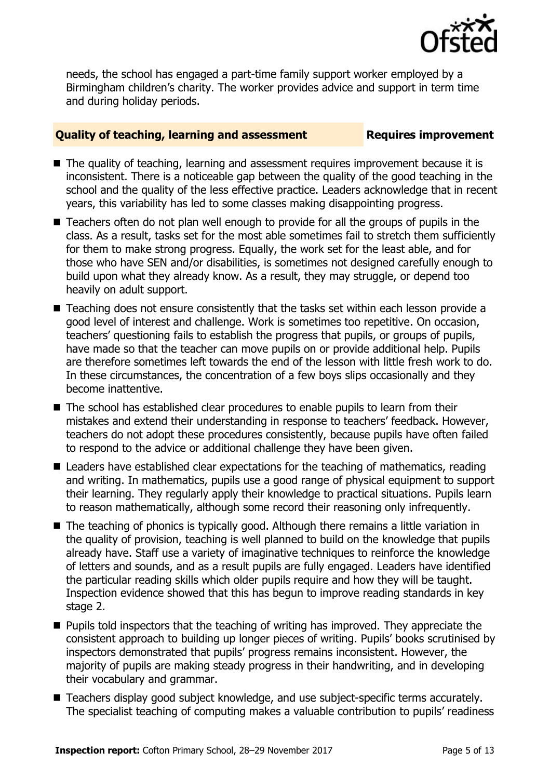

needs, the school has engaged a part-time family support worker employed by a Birmingham children's charity. The worker provides advice and support in term time and during holiday periods.

### **Quality of teaching, learning and assessment Figures improvement**

- The quality of teaching, learning and assessment requires improvement because it is inconsistent. There is a noticeable gap between the quality of the good teaching in the school and the quality of the less effective practice. Leaders acknowledge that in recent years, this variability has led to some classes making disappointing progress.
- Teachers often do not plan well enough to provide for all the groups of pupils in the class. As a result, tasks set for the most able sometimes fail to stretch them sufficiently for them to make strong progress. Equally, the work set for the least able, and for those who have SEN and/or disabilities, is sometimes not designed carefully enough to build upon what they already know. As a result, they may struggle, or depend too heavily on adult support.
- Teaching does not ensure consistently that the tasks set within each lesson provide a good level of interest and challenge. Work is sometimes too repetitive. On occasion, teachers' questioning fails to establish the progress that pupils, or groups of pupils, have made so that the teacher can move pupils on or provide additional help. Pupils are therefore sometimes left towards the end of the lesson with little fresh work to do. In these circumstances, the concentration of a few boys slips occasionally and they become inattentive.
- The school has established clear procedures to enable pupils to learn from their mistakes and extend their understanding in response to teachers' feedback. However, teachers do not adopt these procedures consistently, because pupils have often failed to respond to the advice or additional challenge they have been given.
- Leaders have established clear expectations for the teaching of mathematics, reading and writing. In mathematics, pupils use a good range of physical equipment to support their learning. They regularly apply their knowledge to practical situations. Pupils learn to reason mathematically, although some record their reasoning only infrequently.
- The teaching of phonics is typically good. Although there remains a little variation in the quality of provision, teaching is well planned to build on the knowledge that pupils already have. Staff use a variety of imaginative techniques to reinforce the knowledge of letters and sounds, and as a result pupils are fully engaged. Leaders have identified the particular reading skills which older pupils require and how they will be taught. Inspection evidence showed that this has begun to improve reading standards in key stage 2.
- **Pupils told inspectors that the teaching of writing has improved. They appreciate the** consistent approach to building up longer pieces of writing. Pupils' books scrutinised by inspectors demonstrated that pupils' progress remains inconsistent. However, the majority of pupils are making steady progress in their handwriting, and in developing their vocabulary and grammar.
- Teachers display good subject knowledge, and use subject-specific terms accurately. The specialist teaching of computing makes a valuable contribution to pupils' readiness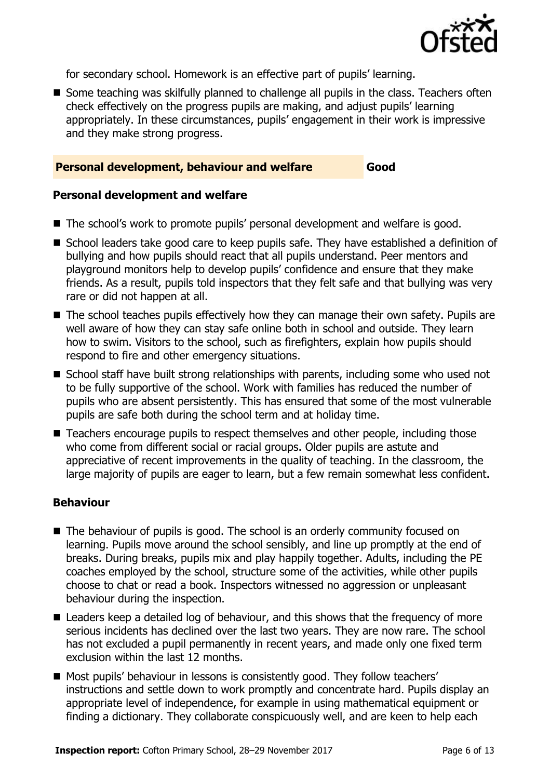

for secondary school. Homework is an effective part of pupils' learning.

■ Some teaching was skilfully planned to challenge all pupils in the class. Teachers often check effectively on the progress pupils are making, and adjust pupils' learning appropriately. In these circumstances, pupils' engagement in their work is impressive and they make strong progress.

### **Personal development, behaviour and welfare Good**

### **Personal development and welfare**

- The school's work to promote pupils' personal development and welfare is good.
- School leaders take good care to keep pupils safe. They have established a definition of bullying and how pupils should react that all pupils understand. Peer mentors and playground monitors help to develop pupils' confidence and ensure that they make friends. As a result, pupils told inspectors that they felt safe and that bullying was very rare or did not happen at all.
- The school teaches pupils effectively how they can manage their own safety. Pupils are well aware of how they can stay safe online both in school and outside. They learn how to swim. Visitors to the school, such as firefighters, explain how pupils should respond to fire and other emergency situations.
- School staff have built strong relationships with parents, including some who used not to be fully supportive of the school. Work with families has reduced the number of pupils who are absent persistently. This has ensured that some of the most vulnerable pupils are safe both during the school term and at holiday time.
- Teachers encourage pupils to respect themselves and other people, including those who come from different social or racial groups. Older pupils are astute and appreciative of recent improvements in the quality of teaching. In the classroom, the large majority of pupils are eager to learn, but a few remain somewhat less confident.

### **Behaviour**

- The behaviour of pupils is good. The school is an orderly community focused on learning. Pupils move around the school sensibly, and line up promptly at the end of breaks. During breaks, pupils mix and play happily together. Adults, including the PE coaches employed by the school, structure some of the activities, while other pupils choose to chat or read a book. Inspectors witnessed no aggression or unpleasant behaviour during the inspection.
- Leaders keep a detailed log of behaviour, and this shows that the frequency of more serious incidents has declined over the last two years. They are now rare. The school has not excluded a pupil permanently in recent years, and made only one fixed term exclusion within the last 12 months.
- Most pupils' behaviour in lessons is consistently good. They follow teachers' instructions and settle down to work promptly and concentrate hard. Pupils display an appropriate level of independence, for example in using mathematical equipment or finding a dictionary. They collaborate conspicuously well, and are keen to help each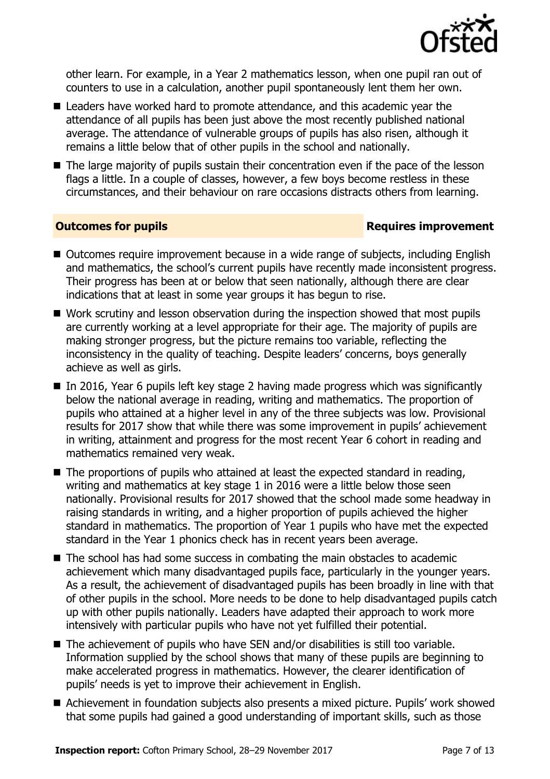

other learn. For example, in a Year 2 mathematics lesson, when one pupil ran out of counters to use in a calculation, another pupil spontaneously lent them her own.

- Leaders have worked hard to promote attendance, and this academic vear the attendance of all pupils has been just above the most recently published national average. The attendance of vulnerable groups of pupils has also risen, although it remains a little below that of other pupils in the school and nationally.
- The large majority of pupils sustain their concentration even if the pace of the lesson flags a little. In a couple of classes, however, a few boys become restless in these circumstances, and their behaviour on rare occasions distracts others from learning.

### **Outcomes for pupils Requires improvement**

- Outcomes require improvement because in a wide range of subjects, including English and mathematics, the school's current pupils have recently made inconsistent progress. Their progress has been at or below that seen nationally, although there are clear indications that at least in some year groups it has begun to rise.
- Work scrutiny and lesson observation during the inspection showed that most pupils are currently working at a level appropriate for their age. The majority of pupils are making stronger progress, but the picture remains too variable, reflecting the inconsistency in the quality of teaching. Despite leaders' concerns, boys generally achieve as well as girls.
- $\blacksquare$  In 2016, Year 6 pupils left key stage 2 having made progress which was significantly below the national average in reading, writing and mathematics. The proportion of pupils who attained at a higher level in any of the three subjects was low. Provisional results for 2017 show that while there was some improvement in pupils' achievement in writing, attainment and progress for the most recent Year 6 cohort in reading and mathematics remained very weak.
- The proportions of pupils who attained at least the expected standard in reading, writing and mathematics at key stage 1 in 2016 were a little below those seen nationally. Provisional results for 2017 showed that the school made some headway in raising standards in writing, and a higher proportion of pupils achieved the higher standard in mathematics. The proportion of Year 1 pupils who have met the expected standard in the Year 1 phonics check has in recent years been average.
- The school has had some success in combating the main obstacles to academic achievement which many disadvantaged pupils face, particularly in the younger years. As a result, the achievement of disadvantaged pupils has been broadly in line with that of other pupils in the school. More needs to be done to help disadvantaged pupils catch up with other pupils nationally. Leaders have adapted their approach to work more intensively with particular pupils who have not yet fulfilled their potential.
- The achievement of pupils who have SEN and/or disabilities is still too variable. Information supplied by the school shows that many of these pupils are beginning to make accelerated progress in mathematics. However, the clearer identification of pupils' needs is yet to improve their achievement in English.
- Achievement in foundation subjects also presents a mixed picture. Pupils' work showed that some pupils had gained a good understanding of important skills, such as those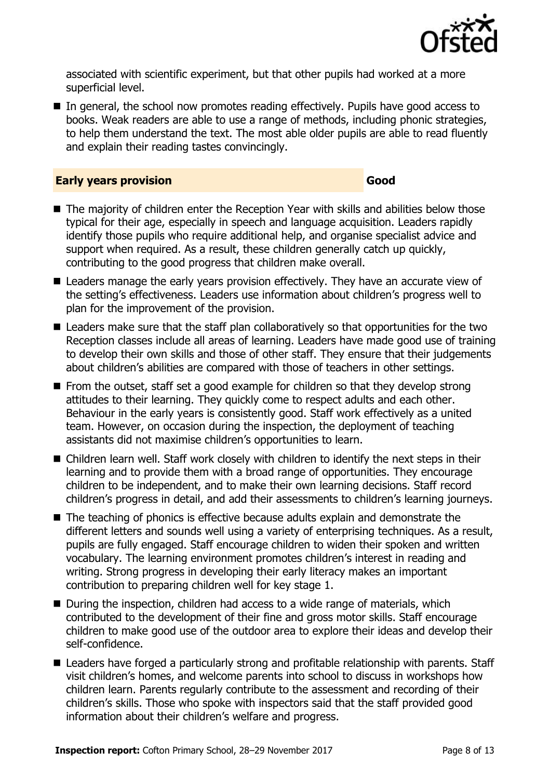

associated with scientific experiment, but that other pupils had worked at a more superficial level.

■ In general, the school now promotes reading effectively. Pupils have good access to books. Weak readers are able to use a range of methods, including phonic strategies, to help them understand the text. The most able older pupils are able to read fluently and explain their reading tastes convincingly.

### **Early years provision Good Good**

- The majority of children enter the Reception Year with skills and abilities below those typical for their age, especially in speech and language acquisition. Leaders rapidly identify those pupils who require additional help, and organise specialist advice and support when required. As a result, these children generally catch up quickly, contributing to the good progress that children make overall.
- Leaders manage the early years provision effectively. They have an accurate view of the setting's effectiveness. Leaders use information about children's progress well to plan for the improvement of the provision.
- Leaders make sure that the staff plan collaboratively so that opportunities for the two Reception classes include all areas of learning. Leaders have made good use of training to develop their own skills and those of other staff. They ensure that their judgements about children's abilities are compared with those of teachers in other settings.
- $\blacksquare$  From the outset, staff set a good example for children so that they develop strong attitudes to their learning. They quickly come to respect adults and each other. Behaviour in the early years is consistently good. Staff work effectively as a united team. However, on occasion during the inspection, the deployment of teaching assistants did not maximise children's opportunities to learn.
- Children learn well. Staff work closely with children to identify the next steps in their learning and to provide them with a broad range of opportunities. They encourage children to be independent, and to make their own learning decisions. Staff record children's progress in detail, and add their assessments to children's learning journeys.
- The teaching of phonics is effective because adults explain and demonstrate the different letters and sounds well using a variety of enterprising techniques. As a result, pupils are fully engaged. Staff encourage children to widen their spoken and written vocabulary. The learning environment promotes children's interest in reading and writing. Strong progress in developing their early literacy makes an important contribution to preparing children well for key stage 1.
- During the inspection, children had access to a wide range of materials, which contributed to the development of their fine and gross motor skills. Staff encourage children to make good use of the outdoor area to explore their ideas and develop their self-confidence.
- Leaders have forged a particularly strong and profitable relationship with parents. Staff visit children's homes, and welcome parents into school to discuss in workshops how children learn. Parents regularly contribute to the assessment and recording of their children's skills. Those who spoke with inspectors said that the staff provided good information about their children's welfare and progress.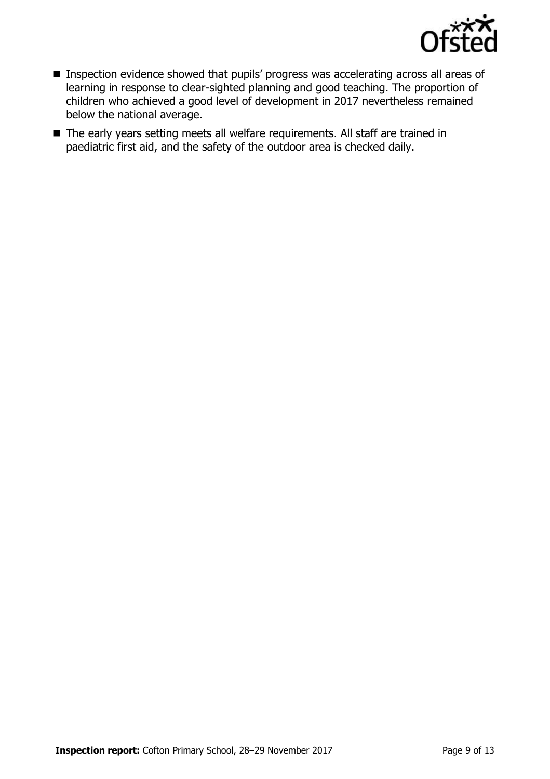

- **Inspection evidence showed that pupils' progress was accelerating across all areas of** learning in response to clear-sighted planning and good teaching. The proportion of children who achieved a good level of development in 2017 nevertheless remained below the national average.
- The early years setting meets all welfare requirements. All staff are trained in paediatric first aid, and the safety of the outdoor area is checked daily.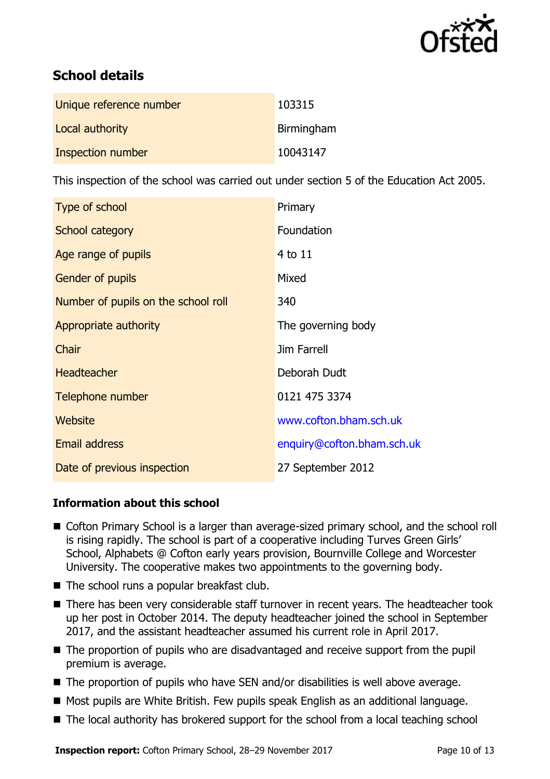

# **School details**

| Unique reference number | 103315     |
|-------------------------|------------|
| Local authority         | Birmingham |
| Inspection number       | 10043147   |

This inspection of the school was carried out under section 5 of the Education Act 2005.

| Type of school                      | Primary                    |
|-------------------------------------|----------------------------|
| School category                     | Foundation                 |
| Age range of pupils                 | $4$ to $11$                |
| Gender of pupils                    | Mixed                      |
| Number of pupils on the school roll | 340                        |
| Appropriate authority               | The governing body         |
| Chair                               | Jim Farrell                |
| <b>Headteacher</b>                  | Deborah Dudt               |
| Telephone number                    | 0121 475 3374              |
| Website                             | www.cofton.bham.sch.uk     |
| <b>Email address</b>                | enquiry@cofton.bham.sch.uk |
| Date of previous inspection         | 27 September 2012          |

### **Information about this school**

- Cofton Primary School is a larger than average-sized primary school, and the school roll is rising rapidly. The school is part of a cooperative including Turves Green Girls' School, Alphabets @ Cofton early years provision, Bournville College and Worcester University. The cooperative makes two appointments to the governing body.
- The school runs a popular breakfast club.
- There has been very considerable staff turnover in recent years. The headteacher took up her post in October 2014. The deputy headteacher joined the school in September 2017, and the assistant headteacher assumed his current role in April 2017.
- The proportion of pupils who are disadvantaged and receive support from the pupil premium is average.
- The proportion of pupils who have SEN and/or disabilities is well above average.
- Most pupils are White British. Few pupils speak English as an additional language.
- The local authority has brokered support for the school from a local teaching school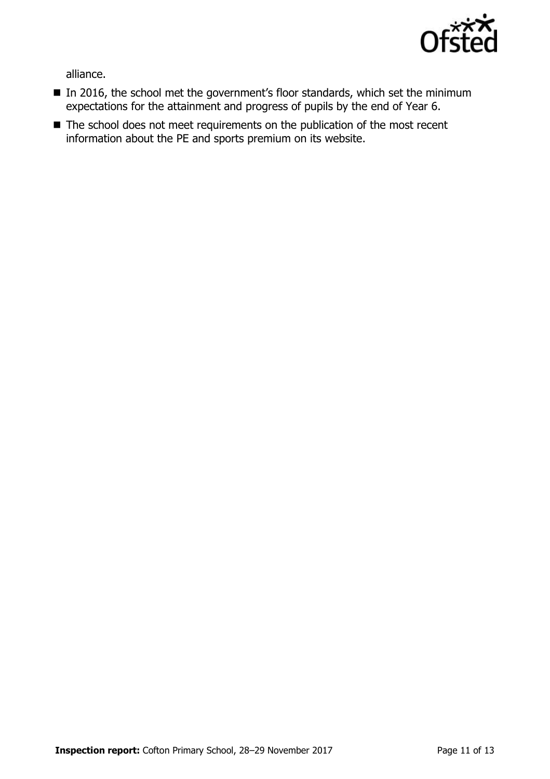

alliance.

- In 2016, the school met the government's floor standards, which set the minimum expectations for the attainment and progress of pupils by the end of Year 6.
- The school does not meet requirements on the publication of the most recent information about the PE and sports premium on its website.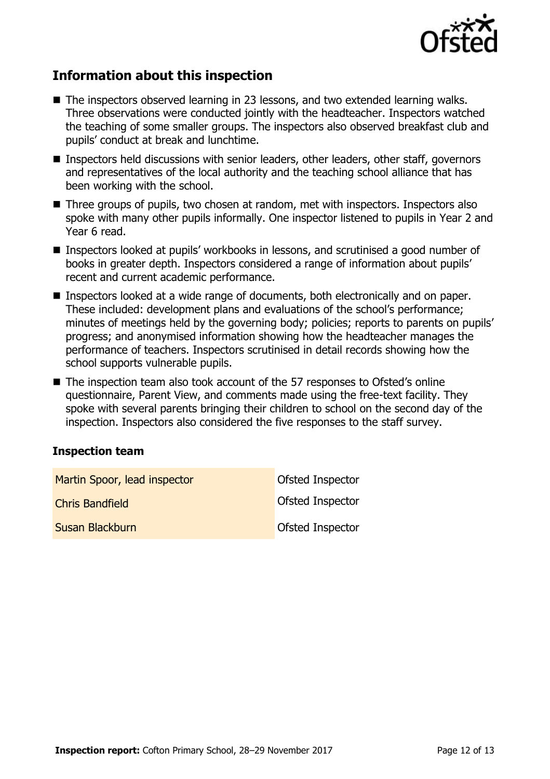

# **Information about this inspection**

- The inspectors observed learning in 23 lessons, and two extended learning walks. Three observations were conducted jointly with the headteacher. Inspectors watched the teaching of some smaller groups. The inspectors also observed breakfast club and pupils' conduct at break and lunchtime.
- Inspectors held discussions with senior leaders, other leaders, other staff, governors and representatives of the local authority and the teaching school alliance that has been working with the school.
- Three groups of pupils, two chosen at random, met with inspectors. Inspectors also spoke with many other pupils informally. One inspector listened to pupils in Year 2 and Year 6 read.
- Inspectors looked at pupils' workbooks in lessons, and scrutinised a good number of books in greater depth. Inspectors considered a range of information about pupils' recent and current academic performance.
- Inspectors looked at a wide range of documents, both electronically and on paper. These included: development plans and evaluations of the school's performance; minutes of meetings held by the governing body; policies; reports to parents on pupils' progress; and anonymised information showing how the headteacher manages the performance of teachers. Inspectors scrutinised in detail records showing how the school supports vulnerable pupils.
- The inspection team also took account of the 57 responses to Ofsted's online questionnaire, Parent View, and comments made using the free-text facility. They spoke with several parents bringing their children to school on the second day of the inspection. Inspectors also considered the five responses to the staff survey.

### **Inspection team**

| Martin Spoor, lead inspector | <b>Ofsted Inspector</b> |
|------------------------------|-------------------------|
| <b>Chris Bandfield</b>       | <b>Ofsted Inspector</b> |
| Susan Blackburn              | Ofsted Inspector        |